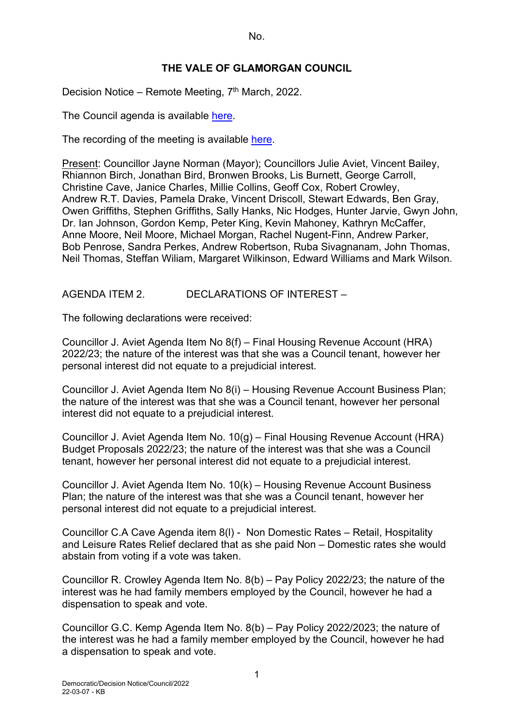# **THE VALE OF GLAMORGAN COUNCIL**

Decision Notice – Remote Meeting, 7<sup>th</sup> March, 2022.

The Council agenda is available [here.](https://www.valeofglamorgan.gov.uk/en/our_council/Council-Structure/minutes,_agendas_and_reports/agendas/council/2021/21-12-06.aspx)

The recording of the meeting is available [here.](https://www.youtube.com/watch?v=wxqhN_1lihI&list=PLzt4i14pgqIFIu5GcsMs1g6b5IUR90m5d&index=1&t=10861s)

Present: Councillor Jayne Norman (Mayor); Councillors Julie Aviet, Vincent Bailey, Rhiannon Birch, Jonathan Bird, Bronwen Brooks, Lis Burnett, George Carroll, Christine Cave, Janice Charles, Millie Collins, Geoff Cox, Robert Crowley, Andrew R.T. Davies, Pamela Drake, Vincent Driscoll, Stewart Edwards, Ben Gray, Owen Griffiths, Stephen Griffiths, Sally Hanks, Nic Hodges, Hunter Jarvie, Gwyn John, Dr. Ian Johnson, Gordon Kemp, Peter King, Kevin Mahoney, Kathryn McCaffer, Anne Moore, Neil Moore, Michael Morgan, Rachel Nugent-Finn, Andrew Parker, Bob Penrose, Sandra Perkes, Andrew Robertson, Ruba Sivagnanam, John Thomas, Neil Thomas, Steffan Wiliam, Margaret Wilkinson, Edward Williams and Mark Wilson.

# AGENDA ITEM 2. DECLARATIONS OF INTEREST –

The following declarations were received:

Councillor J. Aviet Agenda Item No 8(f) – Final Housing Revenue Account (HRA) 2022/23; the nature of the interest was that she was a Council tenant, however her personal interest did not equate to a prejudicial interest.

Councillor J. Aviet Agenda Item No 8(i) – Housing Revenue Account Business Plan; the nature of the interest was that she was a Council tenant, however her personal interest did not equate to a prejudicial interest.

Councillor J. Aviet Agenda Item No. 10(g) – Final Housing Revenue Account (HRA) Budget Proposals 2022/23; the nature of the interest was that she was a Council tenant, however her personal interest did not equate to a prejudicial interest.

Councillor J. Aviet Agenda Item No. 10(k) – Housing Revenue Account Business Plan; the nature of the interest was that she was a Council tenant, however her personal interest did not equate to a prejudicial interest.

Councillor C.A Cave Agenda item 8(l) - Non Domestic Rates – Retail, Hospitality and Leisure Rates Relief declared that as she paid Non – Domestic rates she would abstain from voting if a vote was taken.

Councillor R. Crowley Agenda Item No. 8(b) – Pay Policy 2022/23; the nature of the interest was he had family members employed by the Council, however he had a dispensation to speak and vote.

Councillor G.C. Kemp Agenda Item No. 8(b) – Pay Policy 2022/2023; the nature of the interest was he had a family member employed by the Council, however he had a dispensation to speak and vote.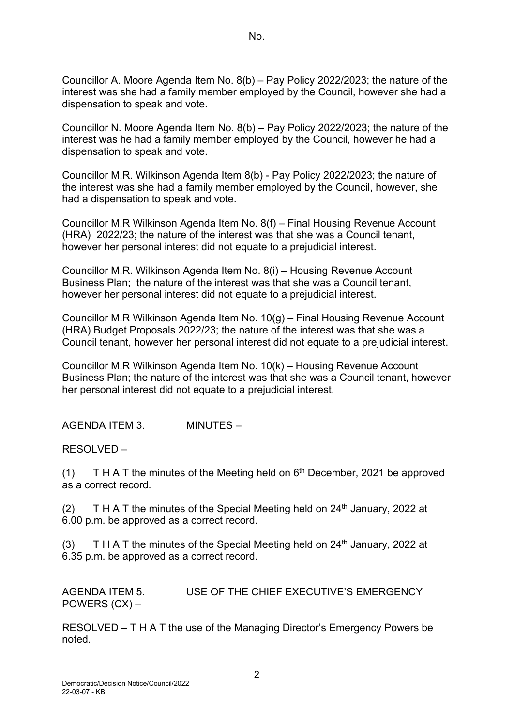Councillor A. Moore Agenda Item No. 8(b) – Pay Policy 2022/2023; the nature of the interest was she had a family member employed by the Council, however she had a dispensation to speak and vote.

Councillor N. Moore Agenda Item No. 8(b) – Pay Policy 2022/2023; the nature of the interest was he had a family member employed by the Council, however he had a dispensation to speak and vote.

Councillor M.R. Wilkinson Agenda Item 8(b) - Pay Policy 2022/2023; the nature of the interest was she had a family member employed by the Council, however, she had a dispensation to speak and vote.

Councillor M.R Wilkinson Agenda Item No. 8(f) – Final Housing Revenue Account (HRA) 2022/23; the nature of the interest was that she was a Council tenant, however her personal interest did not equate to a prejudicial interest.

Councillor M.R. Wilkinson Agenda Item No. 8(i) – Housing Revenue Account Business Plan; the nature of the interest was that she was a Council tenant, however her personal interest did not equate to a prejudicial interest.

Councillor M.R Wilkinson Agenda Item No. 10(g) – Final Housing Revenue Account (HRA) Budget Proposals 2022/23; the nature of the interest was that she was a Council tenant, however her personal interest did not equate to a prejudicial interest.

Councillor M.R Wilkinson Agenda Item No. 10(k) – Housing Revenue Account Business Plan; the nature of the interest was that she was a Council tenant, however her personal interest did not equate to a prejudicial interest.

AGENDA ITEM 3. MINUTES –

RESOLVED –

(1) T H A T the minutes of the Meeting held on  $6<sup>th</sup>$  December, 2021 be approved as a correct record.

(2) T H A T the minutes of the Special Meeting held on  $24<sup>th</sup>$  January, 2022 at 6.00 p.m. be approved as a correct record.

(3) T H A T the minutes of the Special Meeting held on  $24<sup>th</sup>$  January, 2022 at 6.35 p.m. be approved as a correct record.

AGENDA ITEM 5. USE OF THE CHIEF EXECUTIVE'S EMERGENCY POWERS (CX) –

RESOLVED – T H A T the use of the Managing Director's Emergency Powers be noted.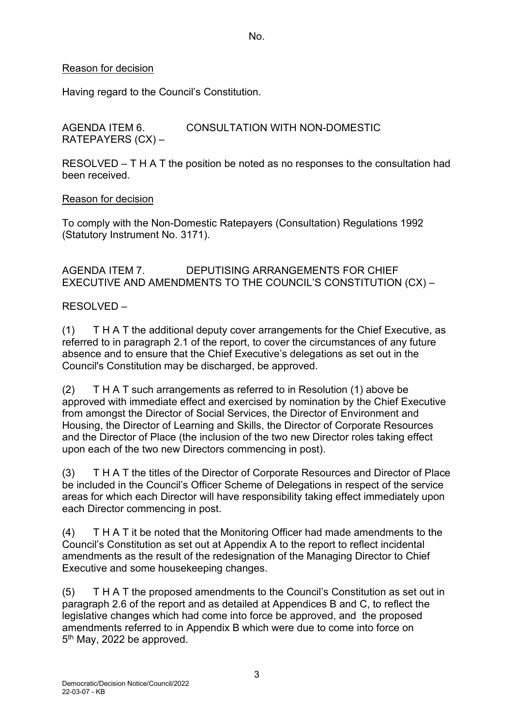## Reason for decision

Having regard to the Council's Constitution.

AGENDA ITEM 6. CONSULTATION WITH NON-DOMESTIC RATEPAYERS (CX) –

RESOLVED – T H A T the position be noted as no responses to the consultation had been received.

## Reason for decision

To comply with the Non-Domestic Ratepayers (Consultation) Regulations 1992 (Statutory Instrument No. 3171).

# AGENDA ITEM 7. DEPUTISING ARRANGEMENTS FOR CHIEF EXECUTIVE AND AMENDMENTS TO THE COUNCIL'S CONSTITUTION (CX) –

# RESOLVED –

(1) T H A T the additional deputy cover arrangements for the Chief Executive, as referred to in paragraph 2.1 of the report, to cover the circumstances of any future absence and to ensure that the Chief Executive's delegations as set out in the Council's Constitution may be discharged, be approved.

(2) T H A T such arrangements as referred to in Resolution (1) above be approved with immediate effect and exercised by nomination by the Chief Executive from amongst the Director of Social Services, the Director of Environment and Housing, the Director of Learning and Skills, the Director of Corporate Resources and the Director of Place (the inclusion of the two new Director roles taking effect upon each of the two new Directors commencing in post).

(3) T H A T the titles of the Director of Corporate Resources and Director of Place be included in the Council's Officer Scheme of Delegations in respect of the service areas for which each Director will have responsibility taking effect immediately upon each Director commencing in post.

(4) T H A T it be noted that the Monitoring Officer had made amendments to the Council's Constitution as set out at Appendix A to the report to reflect incidental amendments as the result of the redesignation of the Managing Director to Chief Executive and some housekeeping changes.

(5) T H A T the proposed amendments to the Council's Constitution as set out in paragraph 2.6 of the report and as detailed at Appendices B and C, to reflect the legislative changes which had come into force be approved, and the proposed amendments referred to in Appendix B which were due to come into force on 5<sup>th</sup> May, 2022 be approved.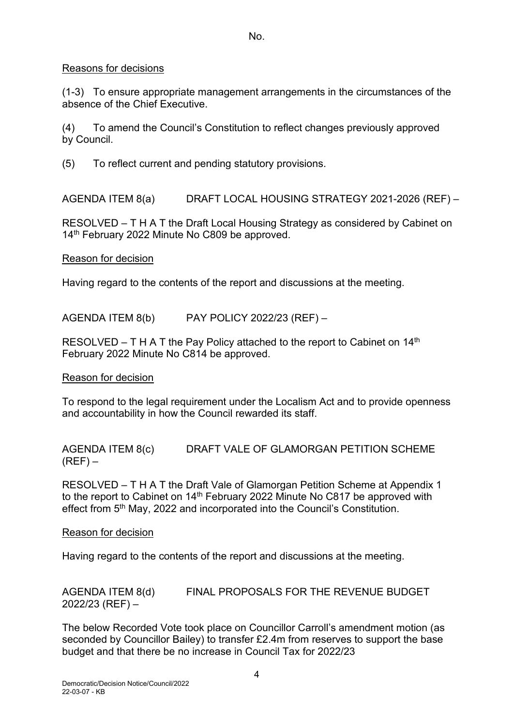## Reasons for decisions

(1-3) To ensure appropriate management arrangements in the circumstances of the absence of the Chief Executive.

(4) To amend the Council's Constitution to reflect changes previously approved by Council.

(5) To reflect current and pending statutory provisions.

AGENDA ITEM 8(a) DRAFT LOCAL HOUSING STRATEGY 2021-2026 (REF) –

RESOLVED – T H A T the Draft Local Housing Strategy as considered by Cabinet on 14<sup>th</sup> February 2022 Minute No C809 be approved.

## Reason for decision

Having regard to the contents of the report and discussions at the meeting.

AGENDA ITEM 8(b) PAY POLICY 2022/23 (REF) –

RESOLVED – T H A T the Pay Policy attached to the report to Cabinet on  $14<sup>th</sup>$ February 2022 Minute No C814 be approved.

## Reason for decision

To respond to the legal requirement under the Localism Act and to provide openness and accountability in how the Council rewarded its staff.

AGENDA ITEM 8(c) DRAFT VALE OF GLAMORGAN PETITION SCHEME  $(REF)$  –

RESOLVED – T H A T the Draft Vale of Glamorgan Petition Scheme at Appendix 1 to the report to Cabinet on 14<sup>th</sup> February 2022 Minute No C817 be approved with effect from 5<sup>th</sup> May, 2022 and incorporated into the Council's Constitution.

## Reason for decision

Having regard to the contents of the report and discussions at the meeting.

AGENDA ITEM 8(d) FINAL PROPOSALS FOR THE REVENUE BUDGET 2022/23 (REF) –

The below Recorded Vote took place on Councillor Carroll's amendment motion (as seconded by Councillor Bailey) to transfer £2.4m from reserves to support the base budget and that there be no increase in Council Tax for 2022/23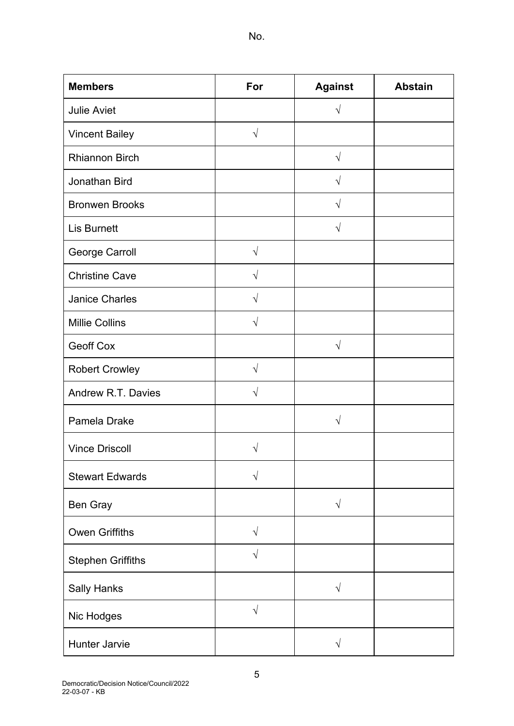| <b>Members</b>           | For        | <b>Against</b> | <b>Abstain</b> |
|--------------------------|------------|----------------|----------------|
| <b>Julie Aviet</b>       |            | $\sqrt{ }$     |                |
| <b>Vincent Bailey</b>    | $\sqrt{ }$ |                |                |
| <b>Rhiannon Birch</b>    |            | $\sqrt{ }$     |                |
| Jonathan Bird            |            | $\sqrt{ }$     |                |
| <b>Bronwen Brooks</b>    |            | $\sqrt{}$      |                |
| <b>Lis Burnett</b>       |            | $\sqrt{}$      |                |
| George Carroll           | $\sqrt{}$  |                |                |
| <b>Christine Cave</b>    | $\sqrt{}$  |                |                |
| <b>Janice Charles</b>    | $\sqrt{}$  |                |                |
| <b>Millie Collins</b>    | $\sqrt{}$  |                |                |
| <b>Geoff Cox</b>         |            | $\sqrt{ }$     |                |
| <b>Robert Crowley</b>    | $\sqrt{ }$ |                |                |
| Andrew R.T. Davies       | V          |                |                |
| Pamela Drake             |            | $\sqrt{}$      |                |
| <b>Vince Driscoll</b>    | V          |                |                |
| <b>Stewart Edwards</b>   | V          |                |                |
| Ben Gray                 |            | $\sqrt{}$      |                |
| <b>Owen Griffiths</b>    | $\sqrt{}$  |                |                |
| <b>Stephen Griffiths</b> | V          |                |                |
| <b>Sally Hanks</b>       |            | $\sqrt{}$      |                |
| Nic Hodges               | $\sqrt{}$  |                |                |
| Hunter Jarvie            |            | $\sqrt{ }$     |                |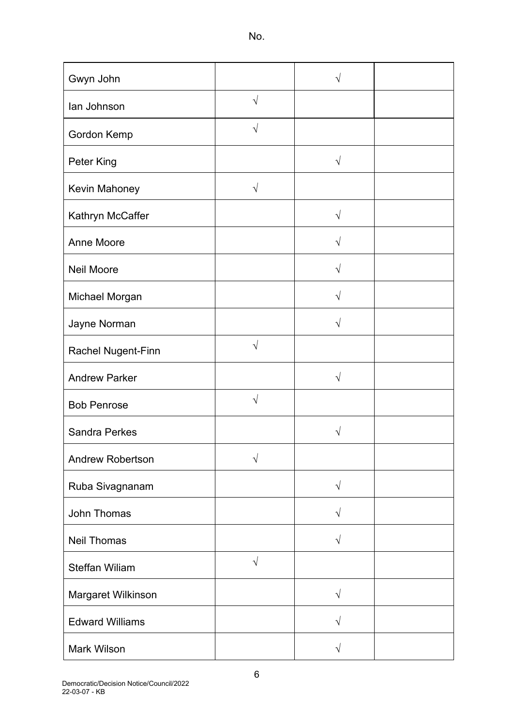| Gwyn John               |            | V          |  |
|-------------------------|------------|------------|--|
| lan Johnson             | $\sqrt{ }$ |            |  |
| Gordon Kemp             | $\sqrt{ }$ |            |  |
| Peter King              |            | $\sqrt{ }$ |  |
| Kevin Mahoney           | $\sqrt{}$  |            |  |
| Kathryn McCaffer        |            | $\sqrt{}$  |  |
| Anne Moore              |            | $\sqrt{ }$ |  |
| <b>Neil Moore</b>       |            | V          |  |
| Michael Morgan          |            | V          |  |
| Jayne Norman            |            | $\sqrt{}$  |  |
| Rachel Nugent-Finn      | $\sqrt{}$  |            |  |
| <b>Andrew Parker</b>    |            | $\sqrt{ }$ |  |
| <b>Bob Penrose</b>      | $\sqrt{}$  |            |  |
| <b>Sandra Perkes</b>    |            |            |  |
| <b>Andrew Robertson</b> | $\sqrt{}$  |            |  |
| Ruba Sivagnanam         |            | $\sqrt{2}$ |  |
| John Thomas             |            | $\sqrt{ }$ |  |
| <b>Neil Thomas</b>      |            | $\sqrt{}$  |  |
| <b>Steffan Wiliam</b>   | $\sqrt{ }$ |            |  |
| Margaret Wilkinson      |            | $\sqrt{}$  |  |
| <b>Edward Williams</b>  |            | $\sqrt{ }$ |  |
| <b>Mark Wilson</b>      |            | $\sqrt{ }$ |  |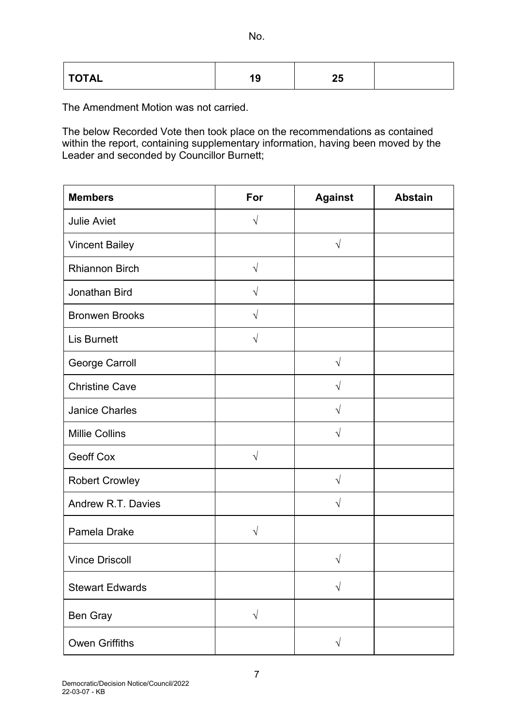| <b>TOTAL</b> | 10<br>$\cdot$ | --<br>∠J |  |
|--------------|---------------|----------|--|
|--------------|---------------|----------|--|

The Amendment Motion was not carried.

The below Recorded Vote then took place on the recommendations as contained within the report, containing supplementary information, having been moved by the Leader and seconded by Councillor Burnett;

| <b>Members</b>         | For        | <b>Against</b> | <b>Abstain</b> |
|------------------------|------------|----------------|----------------|
| <b>Julie Aviet</b>     | $\sqrt{ }$ |                |                |
| <b>Vincent Bailey</b>  |            | $\sqrt{}$      |                |
| <b>Rhiannon Birch</b>  | $\sqrt{}$  |                |                |
| Jonathan Bird          | $\sqrt{}$  |                |                |
| <b>Bronwen Brooks</b>  | $\sqrt{ }$ |                |                |
| <b>Lis Burnett</b>     | $\sqrt{ }$ |                |                |
| <b>George Carroll</b>  |            | $\sqrt{2}$     |                |
| <b>Christine Cave</b>  |            | $\sqrt{}$      |                |
| <b>Janice Charles</b>  |            | $\sqrt{}$      |                |
| <b>Millie Collins</b>  |            | $\sqrt{}$      |                |
| <b>Geoff Cox</b>       | $\sqrt{2}$ |                |                |
| <b>Robert Crowley</b>  |            | $\sqrt{}$      |                |
| Andrew R.T. Davies     |            | $\sqrt{}$      |                |
| Pamela Drake           | $\sqrt{ }$ |                |                |
| <b>Vince Driscoll</b>  |            | V              |                |
| <b>Stewart Edwards</b> |            | $\sqrt{}$      |                |
| Ben Gray               | $\sqrt{}$  |                |                |
| <b>Owen Griffiths</b>  |            | $\sqrt{}$      |                |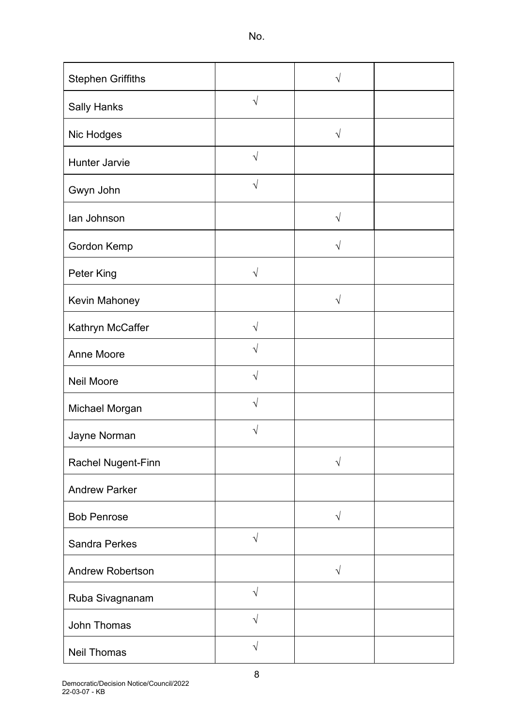| <b>Stephen Griffiths</b> |            | V          |  |
|--------------------------|------------|------------|--|
| <b>Sally Hanks</b>       | $\sqrt{ }$ |            |  |
| Nic Hodges               |            | $\sqrt{}$  |  |
| <b>Hunter Jarvie</b>     | $\sqrt{}$  |            |  |
| Gwyn John                | V          |            |  |
| lan Johnson              |            | $\sqrt{ }$ |  |
| Gordon Kemp              |            | $\sqrt{}$  |  |
| Peter King               | $\sqrt{ }$ |            |  |
| Kevin Mahoney            |            | $\sqrt{}$  |  |
| Kathryn McCaffer         | $\sqrt{}$  |            |  |
| <b>Anne Moore</b>        | N          |            |  |
| <b>Neil Moore</b>        | $\sqrt{}$  |            |  |
| Michael Morgan           | N          |            |  |
| Jayne Norman             | N          |            |  |
| Rachel Nugent-Finn       |            | $\sqrt{}$  |  |
| <b>Andrew Parker</b>     |            |            |  |
| <b>Bob Penrose</b>       |            | $\sqrt{ }$ |  |
| <b>Sandra Perkes</b>     | $\sqrt{ }$ |            |  |
| <b>Andrew Robertson</b>  |            | $\sqrt{ }$ |  |
| Ruba Sivagnanam          | $\sqrt{ }$ |            |  |
| John Thomas              | $\sqrt{ }$ |            |  |
| <b>Neil Thomas</b>       | $\sqrt{}$  |            |  |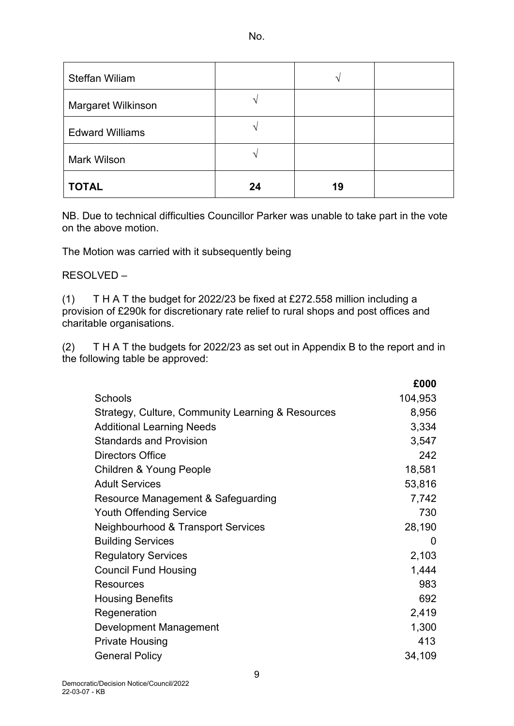| <b>Steffan Wiliam</b>  |    |    |  |
|------------------------|----|----|--|
| Margaret Wilkinson     | ́  |    |  |
| <b>Edward Williams</b> |    |    |  |
| <b>Mark Wilson</b>     | ́  |    |  |
| <b>TOTAL</b>           | 24 | 19 |  |

NB. Due to technical difficulties Councillor Parker was unable to take part in the vote on the above motion.

The Motion was carried with it subsequently being

## RESOLVED –

(1) T H A T the budget for 2022/23 be fixed at £272.558 million including a provision of £290k for discretionary rate relief to rural shops and post offices and charitable organisations.

(2) T H A T the budgets for 2022/23 as set out in Appendix B to the report and in the following table be approved:

|                                                   | £000    |
|---------------------------------------------------|---------|
| Schools                                           | 104,953 |
| Strategy, Culture, Community Learning & Resources | 8,956   |
| <b>Additional Learning Needs</b>                  | 3,334   |
| <b>Standards and Provision</b>                    | 3,547   |
| <b>Directors Office</b>                           | 242     |
| <b>Children &amp; Young People</b>                | 18,581  |
| <b>Adult Services</b>                             | 53,816  |
| Resource Management & Safeguarding                | 7,742   |
| <b>Youth Offending Service</b>                    | 730     |
| Neighbourhood & Transport Services                | 28,190  |
| <b>Building Services</b>                          | 0       |
| <b>Regulatory Services</b>                        | 2,103   |
| <b>Council Fund Housing</b>                       | 1,444   |
| <b>Resources</b>                                  | 983     |
| <b>Housing Benefits</b>                           | 692     |
| Regeneration                                      | 2,419   |
| <b>Development Management</b>                     | 1,300   |
| <b>Private Housing</b>                            | 413     |
| <b>General Policy</b>                             | 34,109  |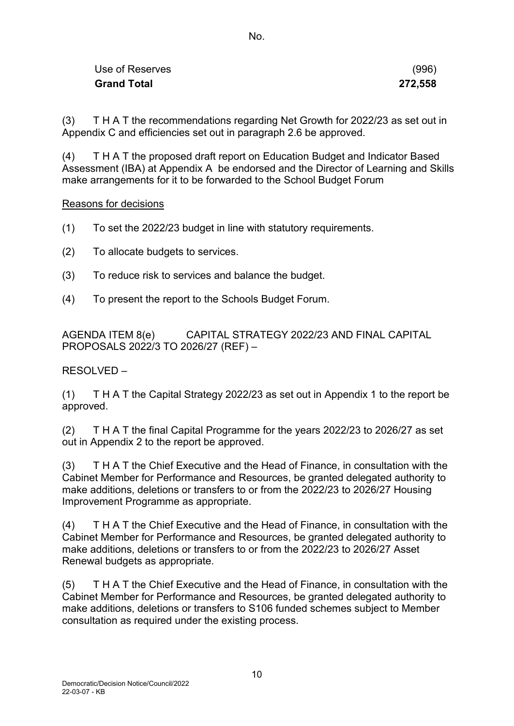| Use of Reserves    | (996)   |
|--------------------|---------|
| <b>Grand Total</b> | 272,558 |

(3) T H A T the recommendations regarding Net Growth for 2022/23 as set out in Appendix C and efficiencies set out in paragraph 2.6 be approved.

(4) T H A T the proposed draft report on Education Budget and Indicator Based Assessment (IBA) at Appendix A be endorsed and the Director of Learning and Skills make arrangements for it to be forwarded to the School Budget Forum

Reasons for decisions

- (1) To set the 2022/23 budget in line with statutory requirements.
- (2) To allocate budgets to services.
- (3) To reduce risk to services and balance the budget.
- (4) To present the report to the Schools Budget Forum.

AGENDA ITEM 8(e) CAPITAL STRATEGY 2022/23 AND FINAL CAPITAL PROPOSALS 2022/3 TO 2026/27 (REF) –

RESOLVED –

(1) T H A T the Capital Strategy 2022/23 as set out in Appendix 1 to the report be approved.

(2) T H A T the final Capital Programme for the years 2022/23 to 2026/27 as set out in Appendix 2 to the report be approved.

(3) T H A T the Chief Executive and the Head of Finance, in consultation with the Cabinet Member for Performance and Resources, be granted delegated authority to make additions, deletions or transfers to or from the 2022/23 to 2026/27 Housing Improvement Programme as appropriate.

(4) T H A T the Chief Executive and the Head of Finance, in consultation with the Cabinet Member for Performance and Resources, be granted delegated authority to make additions, deletions or transfers to or from the 2022/23 to 2026/27 Asset Renewal budgets as appropriate.

(5) T H A T the Chief Executive and the Head of Finance, in consultation with the Cabinet Member for Performance and Resources, be granted delegated authority to make additions, deletions or transfers to S106 funded schemes subject to Member consultation as required under the existing process.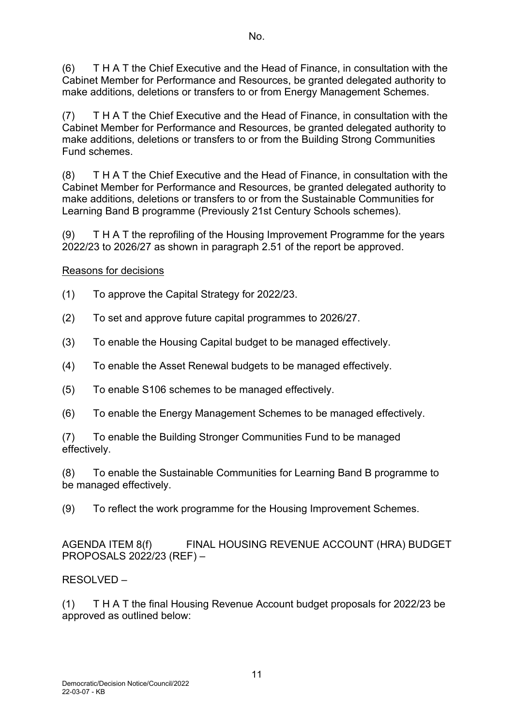(6) T H A T the Chief Executive and the Head of Finance, in consultation with the Cabinet Member for Performance and Resources, be granted delegated authority to make additions, deletions or transfers to or from Energy Management Schemes.

(7) T H A T the Chief Executive and the Head of Finance, in consultation with the Cabinet Member for Performance and Resources, be granted delegated authority to make additions, deletions or transfers to or from the Building Strong Communities Fund schemes.

(8) T H A T the Chief Executive and the Head of Finance, in consultation with the Cabinet Member for Performance and Resources, be granted delegated authority to make additions, deletions or transfers to or from the Sustainable Communities for Learning Band B programme (Previously 21st Century Schools schemes).

(9) T H A T the reprofiling of the Housing Improvement Programme for the years 2022/23 to 2026/27 as shown in paragraph 2.51 of the report be approved.

# Reasons for decisions

- (1) To approve the Capital Strategy for 2022/23.
- (2) To set and approve future capital programmes to 2026/27.
- (3) To enable the Housing Capital budget to be managed effectively.
- (4) To enable the Asset Renewal budgets to be managed effectively.
- (5) To enable S106 schemes to be managed effectively.
- (6) To enable the Energy Management Schemes to be managed effectively.

(7) To enable the Building Stronger Communities Fund to be managed effectively.

(8) To enable the Sustainable Communities for Learning Band B programme to be managed effectively.

(9) To reflect the work programme for the Housing Improvement Schemes.

AGENDA ITEM 8(f) FINAL HOUSING REVENUE ACCOUNT (HRA) BUDGET PROPOSALS 2022/23 (REF) –

# RESOLVED –

(1) T H A T the final Housing Revenue Account budget proposals for 2022/23 be approved as outlined below: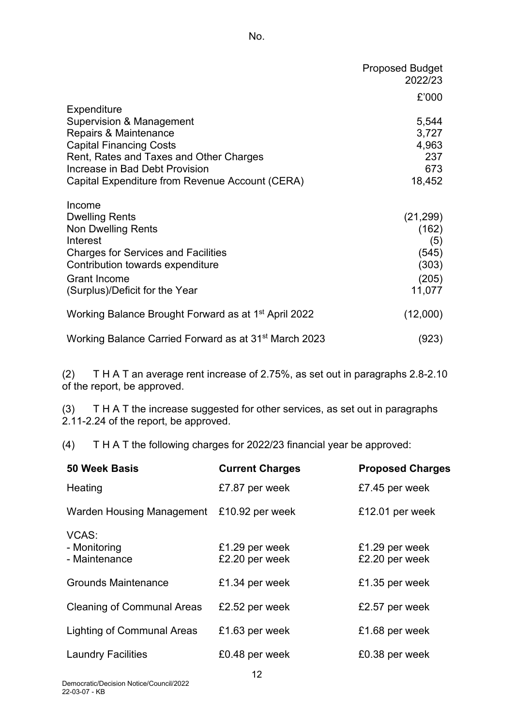|                                                                                                                                                                                                                                    | <b>Proposed Budget</b><br>2022/23               |
|------------------------------------------------------------------------------------------------------------------------------------------------------------------------------------------------------------------------------------|-------------------------------------------------|
|                                                                                                                                                                                                                                    | £'000                                           |
| Expenditure<br>Supervision & Management<br>Repairs & Maintenance<br><b>Capital Financing Costs</b><br>Rent, Rates and Taxes and Other Charges<br>Increase in Bad Debt Provision<br>Capital Expenditure from Revenue Account (CERA) | 5,544<br>3,727<br>4,963<br>237<br>673<br>18,452 |
| Income                                                                                                                                                                                                                             |                                                 |
| <b>Dwelling Rents</b><br><b>Non Dwelling Rents</b><br>Interest<br><b>Charges for Services and Facilities</b>                                                                                                                       | (21, 299)<br>(162)<br>(5)<br>(545)              |
| Contribution towards expenditure<br><b>Grant Income</b><br>(Surplus)/Deficit for the Year                                                                                                                                          | (303)<br>(205)<br>11,077                        |
| Working Balance Brought Forward as at 1 <sup>st</sup> April 2022                                                                                                                                                                   | (12,000)                                        |
| Working Balance Carried Forward as at 31 <sup>st</sup> March 2023                                                                                                                                                                  | (923)                                           |

(2) T H A T an average rent increase of 2.75%, as set out in paragraphs 2.8-2.10 of the report, be approved.

(3) T H A T the increase suggested for other services, as set out in paragraphs 2.11-2.24 of the report, be approved.

(4) T H A T the following charges for 2022/23 financial year be approved:

| <b>Current Charges</b> | <b>Proposed Charges</b>                     |
|------------------------|---------------------------------------------|
| £7.87 per week         | £7.45 per week                              |
| £10.92 per week        | £12.01 per week                             |
|                        |                                             |
| £1.29 per week         | £1.29 per week                              |
|                        | £2.20 per week                              |
| £1.34 per week         | £1.35 per week                              |
| £2.52 per week         | £2.57 per week                              |
| £1.63 per week         | £1.68 per week                              |
|                        |                                             |
| £0.48 per week         | £0.38 per week                              |
|                        | Warden Housing Management<br>£2.20 per week |

12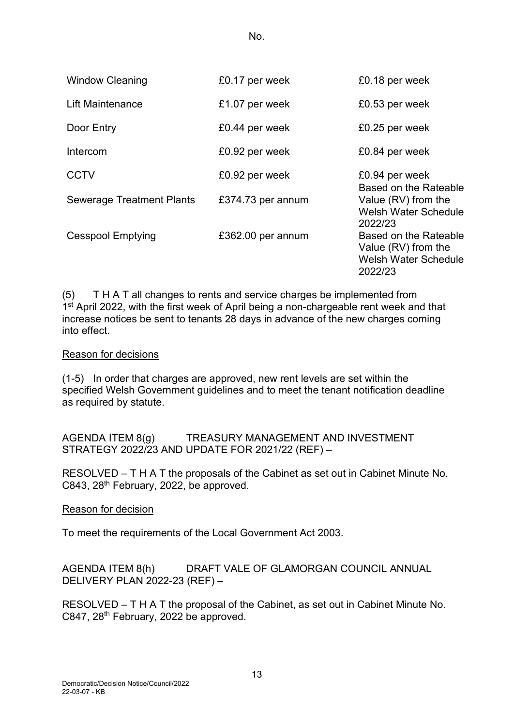| <b>Window Cleaning</b>           | £0.17 per week    | £0.18 per week                                                                         |
|----------------------------------|-------------------|----------------------------------------------------------------------------------------|
| <b>Lift Maintenance</b>          | £1.07 per week    | £0.53 per week                                                                         |
| Door Entry                       | £0.44 per week    | £0.25 per week                                                                         |
| Intercom                         | £0.92 per week    | £0.84 per week                                                                         |
| <b>CCTV</b>                      | £0.92 per week    | £0.94 per week<br>Based on the Rateable                                                |
| <b>Sewerage Treatment Plants</b> | £374.73 per annum | Value (RV) from the<br><b>Welsh Water Schedule</b><br>2022/23                          |
| <b>Cesspool Emptying</b>         | £362.00 per annum | Based on the Rateable<br>Value (RV) from the<br><b>Welsh Water Schedule</b><br>2022/23 |

(5) T H A T all changes to rents and service charges be implemented from 1<sup>st</sup> April 2022, with the first week of April being a non-chargeable rent week and that increase notices be sent to tenants 28 days in advance of the new charges coming into effect.

## Reason for decisions

(1-5) In order that charges are approved, new rent levels are set within the specified Welsh Government guidelines and to meet the tenant notification deadline as required by statute.

AGENDA ITEM 8(g) TREASURY MANAGEMENT AND INVESTMENT STRATEGY 2022/23 AND UPDATE FOR 2021/22 (REF) –

RESOLVED – T H A T the proposals of the Cabinet as set out in Cabinet Minute No. C843, 28th February, 2022, be approved.

Reason for decision

To meet the requirements of the Local Government Act 2003.

AGENDA ITEM 8(h) DRAFT VALE OF GLAMORGAN COUNCIL ANNUAL DELIVERY PLAN 2022-23 (REF) –

RESOLVED – T H A T the proposal of the Cabinet, as set out in Cabinet Minute No. C847, 28th February, 2022 be approved.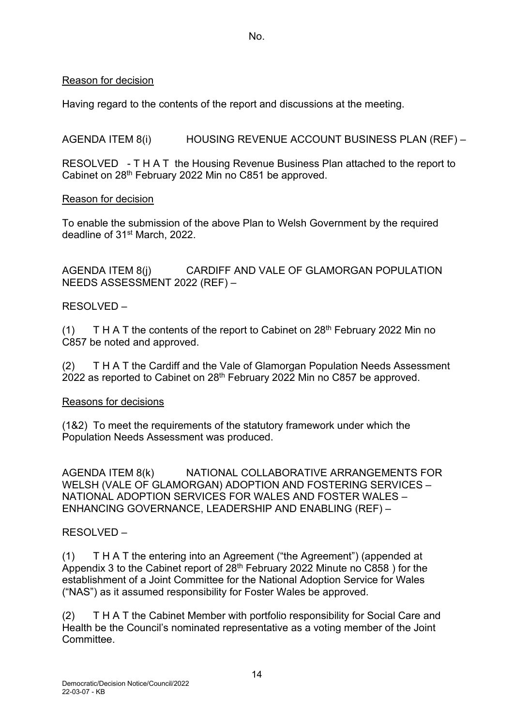# Reason for decision

Having regard to the contents of the report and discussions at the meeting.

AGENDA ITEM 8(i) HOUSING REVENUE ACCOUNT BUSINESS PLAN (REF) –

RESOLVED - T H A T the Housing Revenue Business Plan attached to the report to Cabinet on 28th February 2022 Min no C851 be approved.

# Reason for decision

To enable the submission of the above Plan to Welsh Government by the required deadline of 31st March, 2022.

AGENDA ITEM 8(j) CARDIFF AND VALE OF GLAMORGAN POPULATION NEEDS ASSESSMENT 2022 (REF) –

# RESOLVED –

(1) T H A T the contents of the report to Cabinet on  $28<sup>th</sup>$  February 2022 Min no C857 be noted and approved.

(2) T H A T the Cardiff and the Vale of Glamorgan Population Needs Assessment 2022 as reported to Cabinet on 28th February 2022 Min no C857 be approved.

# Reasons for decisions

(1&2) To meet the requirements of the statutory framework under which the Population Needs Assessment was produced.

AGENDA ITEM 8(k) NATIONAL COLLABORATIVE ARRANGEMENTS FOR WELSH (VALE OF GLAMORGAN) ADOPTION AND FOSTERING SERVICES – NATIONAL ADOPTION SERVICES FOR WALES AND FOSTER WALES – ENHANCING GOVERNANCE, LEADERSHIP AND ENABLING (REF) –

# RESOLVED –

(1) T H A T the entering into an Agreement ("the Agreement") (appended at Appendix 3 to the Cabinet report of 28th February 2022 Minute no C858 ) for the establishment of a Joint Committee for the National Adoption Service for Wales ("NAS") as it assumed responsibility for Foster Wales be approved.

(2) T H A T the Cabinet Member with portfolio responsibility for Social Care and Health be the Council's nominated representative as a voting member of the Joint Committee.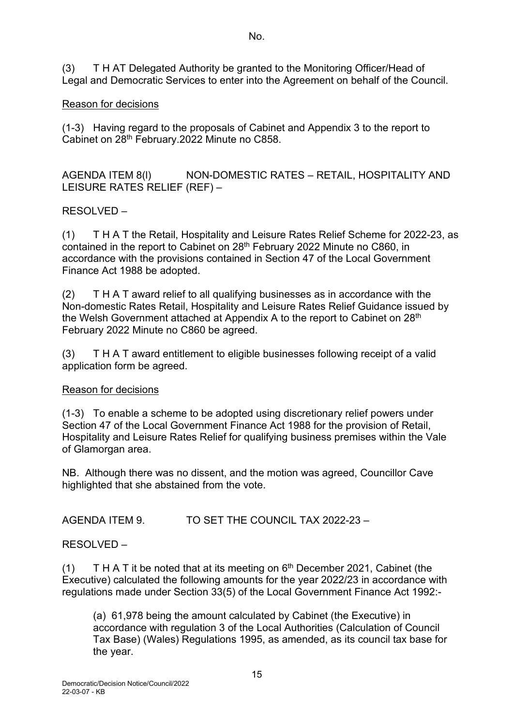(3) T H AT Delegated Authority be granted to the Monitoring Officer/Head of Legal and Democratic Services to enter into the Agreement on behalf of the Council.

# Reason for decisions

(1-3) Having regard to the proposals of Cabinet and Appendix 3 to the report to Cabinet on 28<sup>th</sup> February.2022 Minute no C858.

AGENDA ITEM 8(l) NON-DOMESTIC RATES – RETAIL, HOSPITALITY AND LEISURE RATES RELIEF (REF) –

# RESOLVED –

(1) T H A T the Retail, Hospitality and Leisure Rates Relief Scheme for 2022-23, as contained in the report to Cabinet on 28<sup>th</sup> February 2022 Minute no C860, in accordance with the provisions contained in Section 47 of the Local Government Finance Act 1988 be adopted.

(2) T H A T award relief to all qualifying businesses as in accordance with the Non-domestic Rates Retail, Hospitality and Leisure Rates Relief Guidance issued by the Welsh Government attached at Appendix A to the report to Cabinet on 28<sup>th</sup> February 2022 Minute no C860 be agreed.

(3) T H A T award entitlement to eligible businesses following receipt of a valid application form be agreed.

# Reason for decisions

(1-3) To enable a scheme to be adopted using discretionary relief powers under Section 47 of the Local Government Finance Act 1988 for the provision of Retail, Hospitality and Leisure Rates Relief for qualifying business premises within the Vale of Glamorgan area.

NB. Although there was no dissent, and the motion was agreed, Councillor Cave highlighted that she abstained from the vote.

AGENDA ITEM 9. TO SET THE COUNCIL TAX 2022-23 –

RESOLVED –

(1) T H A T it be noted that at its meeting on  $6<sup>th</sup>$  December 2021, Cabinet (the Executive) calculated the following amounts for the year 2022/23 in accordance with regulations made under Section 33(5) of the Local Government Finance Act 1992:-

(a) 61,978 being the amount calculated by Cabinet (the Executive) in accordance with regulation 3 of the Local Authorities (Calculation of Council Tax Base) (Wales) Regulations 1995, as amended, as its council tax base for the year.

No.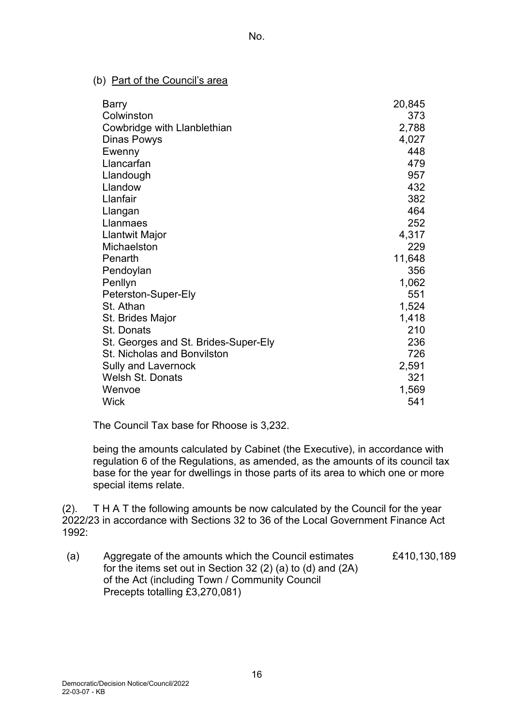## (b) Part of the Council's area

| <b>Barry</b>                         | 20,845 |
|--------------------------------------|--------|
| Colwinston                           | 373    |
| Cowbridge with Llanblethian          | 2,788  |
| Dinas Powys                          | 4,027  |
| Ewenny                               | 448    |
| Llancarfan                           | 479    |
| Llandough                            | 957    |
| Llandow                              | 432    |
| Llanfair                             | 382    |
| Llangan                              | 464    |
| Llanmaes                             | 252    |
| Llantwit Major                       | 4,317  |
| Michaelston                          | 229    |
| Penarth                              | 11,648 |
| Pendoylan                            | 356    |
| Penllyn                              | 1,062  |
| Peterston-Super-Ely                  | 551    |
| St. Athan                            | 1,524  |
| St. Brides Major                     | 1,418  |
| St. Donats                           | 210    |
| St. Georges and St. Brides-Super-Ely | 236    |
| St. Nicholas and Bonvilston          | 726    |
| <b>Sully and Lavernock</b>           | 2,591  |
| <b>Welsh St. Donats</b>              | 321    |
| Wenvoe                               | 1,569  |
| <b>Wick</b>                          | 541    |

The Council Tax base for Rhoose is 3,232.

being the amounts calculated by Cabinet (the Executive), in accordance with regulation 6 of the Regulations, as amended, as the amounts of its council tax base for the year for dwellings in those parts of its area to which one or more special items relate.

(2). T H A T the following amounts be now calculated by the Council for the year 2022/23 in accordance with Sections 32 to 36 of the Local Government Finance Act 1992:

(a) Aggregate of the amounts which the Council estimates for the items set out in Section 32 (2) (a) to (d) and (2A) of the Act (including Town / Community Council Precepts totalling £3,270,081) £410,130,189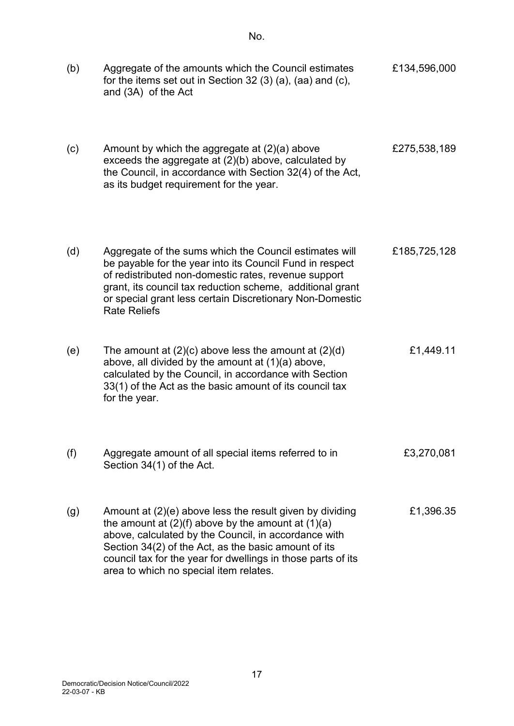| (b) | Aggregate of the amounts which the Council estimates<br>for the items set out in Section 32 $(3)$ $(a)$ , $(aa)$ and $(c)$ ,<br>and (3A) of the Act                                                                                                                                                                                          | £134,596,000 |
|-----|----------------------------------------------------------------------------------------------------------------------------------------------------------------------------------------------------------------------------------------------------------------------------------------------------------------------------------------------|--------------|
| (c) | Amount by which the aggregate at $(2)(a)$ above<br>exceeds the aggregate at (2)(b) above, calculated by<br>the Council, in accordance with Section 32(4) of the Act,<br>as its budget requirement for the year.                                                                                                                              | £275,538,189 |
| (d) | Aggregate of the sums which the Council estimates will<br>be payable for the year into its Council Fund in respect<br>of redistributed non-domestic rates, revenue support<br>grant, its council tax reduction scheme, additional grant<br>or special grant less certain Discretionary Non-Domestic<br><b>Rate Reliefs</b>                   | £185,725,128 |
| (e) | The amount at $(2)(c)$ above less the amount at $(2)(d)$<br>above, all divided by the amount at (1)(a) above,<br>calculated by the Council, in accordance with Section<br>33(1) of the Act as the basic amount of its council tax<br>for the year.                                                                                           | £1,449.11    |
| (f) | Aggregate amount of all special items referred to in<br>Section 34(1) of the Act.                                                                                                                                                                                                                                                            | £3,270,081   |
| (g) | Amount at (2)(e) above less the result given by dividing<br>the amount at $(2)(f)$ above by the amount at $(1)(a)$<br>above, calculated by the Council, in accordance with<br>Section 34(2) of the Act, as the basic amount of its<br>council tax for the year for dwellings in those parts of its<br>area to which no special item relates. | £1,396.35    |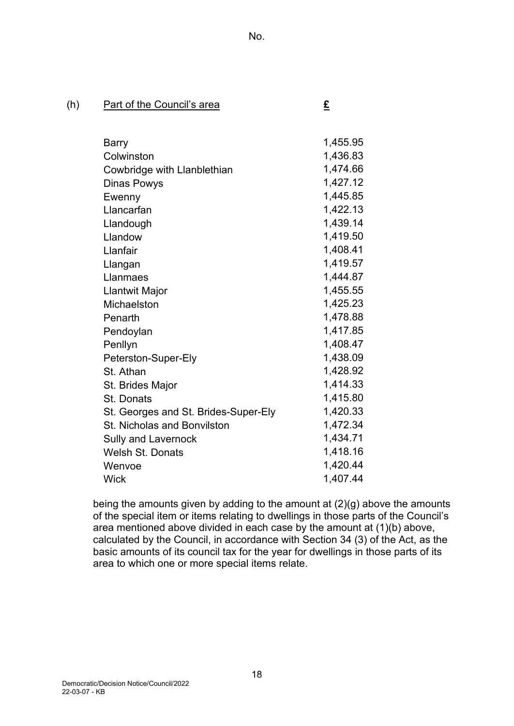# (h) Part of the Council's area **£**

| Barry                                | 1,455.95 |
|--------------------------------------|----------|
| Colwinston                           | 1,436.83 |
| Cowbridge with Llanblethian          | 1,474.66 |
| <b>Dinas Powys</b>                   | 1,427.12 |
| Ewenny                               | 1,445.85 |
| Llancarfan                           | 1,422.13 |
| Llandough                            | 1,439.14 |
| Llandow                              | 1,419.50 |
| Llanfair                             | 1,408.41 |
| Llangan                              | 1,419.57 |
| Llanmaes                             | 1,444.87 |
| Llantwit Major                       | 1,455.55 |
| Michaelston                          | 1,425.23 |
| Penarth                              | 1,478.88 |
| Pendoylan                            | 1,417.85 |
| Penllyn                              | 1,408.47 |
| Peterston-Super-Ely                  | 1,438.09 |
| St. Athan                            | 1,428.92 |
| St. Brides Major                     | 1,414.33 |
| St. Donats                           | 1,415.80 |
| St. Georges and St. Brides-Super-Ely | 1,420.33 |
| <b>St. Nicholas and Bonvilston</b>   | 1,472.34 |
| Sully and Lavernock                  | 1,434.71 |
| <b>Welsh St. Donats</b>              | 1,418.16 |
| Wenvoe                               | 1,420.44 |
| Wick                                 | 1,407.44 |

being the amounts given by adding to the amount at (2)(g) above the amounts of the special item or items relating to dwellings in those parts of the Council's area mentioned above divided in each case by the amount at (1)(b) above, calculated by the Council, in accordance with Section 34 (3) of the Act, as the basic amounts of its council tax for the year for dwellings in those parts of its area to which one or more special items relate.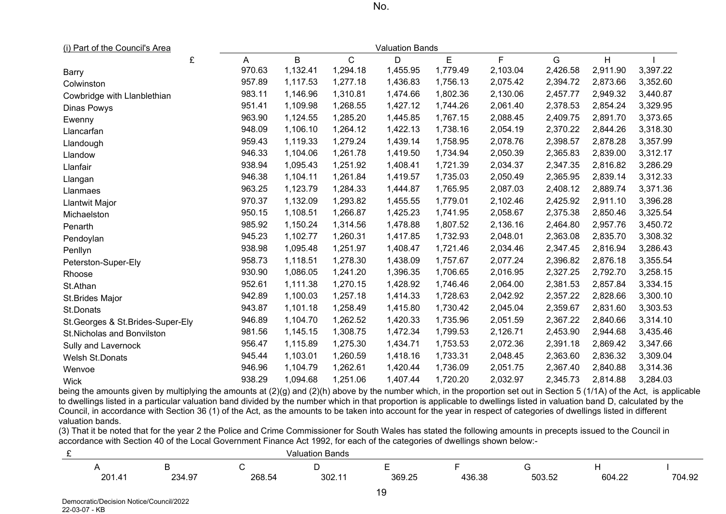| <u>(i) Part of the Council's Area</u> | Valuation Bands |          |              |          |          |          |          |          |          |
|---------------------------------------|-----------------|----------|--------------|----------|----------|----------|----------|----------|----------|
| £                                     | A               | B        | $\mathsf{C}$ | D        | E        | F        | G        | H        |          |
| <b>Barry</b>                          | 970.63          | 1,132.41 | 1,294.18     | 1,455.95 | 1,779.49 | 2,103.04 | 2,426.58 | 2,911.90 | 3,397.22 |
| Colwinston                            | 957.89          | 1,117.53 | 1,277.18     | 1,436.83 | 1,756.13 | 2,075.42 | 2,394.72 | 2,873.66 | 3,352.60 |
| Cowbridge with Llanblethian           | 983.11          | 1,146.96 | 1,310.81     | 1,474.66 | 1,802.36 | 2,130.06 | 2,457.77 | 2,949.32 | 3,440.87 |
| <b>Dinas Powys</b>                    | 951.41          | 1,109.98 | 1,268.55     | 1,427.12 | 1,744.26 | 2,061.40 | 2,378.53 | 2,854.24 | 3,329.95 |
| Ewenny                                | 963.90          | 1,124.55 | 1,285.20     | 1,445.85 | 1,767.15 | 2,088.45 | 2,409.75 | 2,891.70 | 3,373.65 |
| Llancarfan                            | 948.09          | 1,106.10 | 1,264.12     | 1,422.13 | 1,738.16 | 2,054.19 | 2,370.22 | 2,844.26 | 3,318.30 |
| Llandough                             | 959.43          | 1,119.33 | 1,279.24     | 1,439.14 | 1,758.95 | 2,078.76 | 2,398.57 | 2,878.28 | 3,357.99 |
| Llandow                               | 946.33          | 1,104.06 | 1,261.78     | 1,419.50 | 1,734.94 | 2,050.39 | 2,365.83 | 2,839.00 | 3,312.17 |
| Llanfair                              | 938.94          | 1,095.43 | 1,251.92     | 1,408.41 | 1,721.39 | 2,034.37 | 2,347.35 | 2,816.82 | 3,286.29 |
| Llangan                               | 946.38          | 1,104.11 | 1,261.84     | 1,419.57 | 1,735.03 | 2,050.49 | 2,365.95 | 2,839.14 | 3,312.33 |
| Llanmaes                              | 963.25          | 1,123.79 | 1,284.33     | 1,444.87 | 1,765.95 | 2,087.03 | 2,408.12 | 2,889.74 | 3,371.36 |
| Llantwit Major                        | 970.37          | 1,132.09 | 1,293.82     | 1,455.55 | 1,779.01 | 2,102.46 | 2,425.92 | 2,911.10 | 3,396.28 |
| Michaelston                           | 950.15          | 1,108.51 | 1,266.87     | 1,425.23 | 1,741.95 | 2,058.67 | 2,375.38 | 2,850.46 | 3,325.54 |
| Penarth                               | 985.92          | 1,150.24 | 1,314.56     | 1,478.88 | 1,807.52 | 2,136.16 | 2,464.80 | 2,957.76 | 3,450.72 |
| Pendoylan                             | 945.23          | 1,102.77 | 1,260.31     | 1,417.85 | 1,732.93 | 2,048.01 | 2,363.08 | 2,835.70 | 3,308.32 |
| Penllyn                               | 938.98          | 1,095.48 | 1,251.97     | 1,408.47 | 1,721.46 | 2,034.46 | 2,347.45 | 2,816.94 | 3,286.43 |
| Peterston-Super-Ely                   | 958.73          | 1,118.51 | 1,278.30     | 1,438.09 | 1,757.67 | 2,077.24 | 2,396.82 | 2,876.18 | 3,355.54 |
| Rhoose                                | 930.90          | 1,086.05 | 1,241.20     | 1,396.35 | 1,706.65 | 2,016.95 | 2,327.25 | 2,792.70 | 3,258.15 |
| St.Athan                              | 952.61          | 1,111.38 | 1,270.15     | 1,428.92 | 1,746.46 | 2,064.00 | 2,381.53 | 2,857.84 | 3,334.15 |
| St.Brides Major                       | 942.89          | 1,100.03 | 1,257.18     | 1,414.33 | 1,728.63 | 2,042.92 | 2,357.22 | 2,828.66 | 3,300.10 |
| St.Donats                             | 943.87          | 1,101.18 | 1,258.49     | 1,415.80 | 1,730.42 | 2,045.04 | 2,359.67 | 2,831.60 | 3,303.53 |
| St. Georges & St. Brides-Super-Ely    | 946.89          | 1,104.70 | 1,262.52     | 1,420.33 | 1,735.96 | 2,051.59 | 2,367.22 | 2,840.66 | 3,314.10 |
| St.Nicholas and Bonvilston            | 981.56          | 1,145.15 | 1,308.75     | 1,472.34 | 1,799.53 | 2,126.71 | 2,453.90 | 2,944.68 | 3,435.46 |
| Sully and Lavernock                   | 956.47          | 1,115.89 | 1,275.30     | 1,434.71 | 1,753.53 | 2,072.36 | 2,391.18 | 2,869.42 | 3,347.66 |
| Welsh St.Donats                       | 945.44          | 1,103.01 | 1,260.59     | 1,418.16 | 1,733.31 | 2,048.45 | 2,363.60 | 2,836.32 | 3,309.04 |
| Wenvoe                                | 946.96          | 1,104.79 | 1,262.61     | 1,420.44 | 1,736.09 | 2,051.75 | 2,367.40 | 2,840.88 | 3,314.36 |
| <b>Wick</b>                           | 938.29          | 1,094.68 | 1,251.06     | 1,407.44 | 1,720.20 | 2,032.97 | 2,345.73 | 2,814.88 | 3,284.03 |

being the amounts given by multiplying the amounts at (2)(g) and (2)(h) above by the number which, in the proportion set out in Section 5 (1/1A) of the Act, is applicable to dwellings listed in a particular valuation band divided by the number which in that proportion is applicable to dwellings listed in valuation band D, calculated by the Council, in accordance with Section 36 (1) of the Act, as the amounts to be taken into account for the year in respect of categories of dwellings listed in different valuation bands.

(3) That it be noted that for the year 2 the Police and Crime Commissioner for South Wales has stated the following amounts in precepts issued to the Council in accordance with Section 40 of the Local Government Finance Act 1992, for each of the categories of dwellings shown below:-

| Bands<br>aluatior/ |                      |        |       |        |        |                         |                               |        |  |
|--------------------|----------------------|--------|-------|--------|--------|-------------------------|-------------------------------|--------|--|
|                    |                      |        |       |        |        |                         |                               |        |  |
| 201<br>ZV          | - 07<br>וגר<br>∠∪−.⊍ | 268.54 | 302.1 | 369.25 | 136.38 | -00<br>$\sim$<br>JUJ.JZ | 604<br>$\sim$ 000 $\sim$<br>. | 704.92 |  |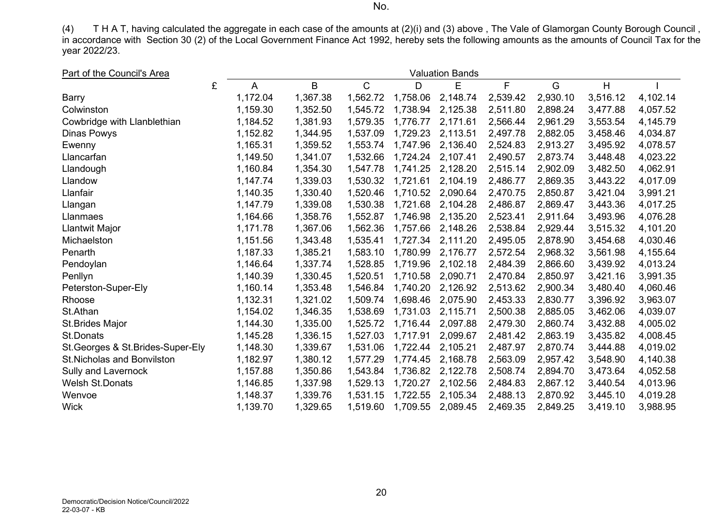(4) T H A T, having calculated the aggregate in each case of the amounts at (2)(i) and (3) above , The Vale of Glamorgan County Borough Council , in accordance with Section 30 (2) of the Local Government Finance Act 1992, hereby sets the following amounts as the amounts of Council Tax for the year 2022/23.

| Part of the Council's Area<br><b>Valuation Bands</b> |   |          |          |              |          |          |          |          |          |          |
|------------------------------------------------------|---|----------|----------|--------------|----------|----------|----------|----------|----------|----------|
|                                                      | £ | A        | B        | $\mathsf{C}$ | D        | E        | F        | G        | H        |          |
| Barry                                                |   | 1,172.04 | 1,367.38 | 1,562.72     | 1,758.06 | 2,148.74 | 2,539.42 | 2,930.10 | 3,516.12 | 4,102.14 |
| Colwinston                                           |   | 1,159.30 | 1,352.50 | 1,545.72     | 1,738.94 | 2,125.38 | 2,511.80 | 2,898.24 | 3,477.88 | 4,057.52 |
| Cowbridge with Llanblethian                          |   | 1,184.52 | 1,381.93 | 1,579.35     | 1,776.77 | 2,171.61 | 2,566.44 | 2,961.29 | 3,553.54 | 4,145.79 |
| Dinas Powys                                          |   | 1,152.82 | 1,344.95 | 1,537.09     | 1,729.23 | 2,113.51 | 2,497.78 | 2,882.05 | 3,458.46 | 4,034.87 |
| Ewenny                                               |   | 1,165.31 | 1,359.52 | 1,553.74     | 1,747.96 | 2,136.40 | 2,524.83 | 2,913.27 | 3,495.92 | 4,078.57 |
| Llancarfan                                           |   | 1,149.50 | 1,341.07 | 1,532.66     | 1,724.24 | 2,107.41 | 2,490.57 | 2,873.74 | 3,448.48 | 4,023.22 |
| Llandough                                            |   | 1,160.84 | 1,354.30 | 1,547.78     | 1,741.25 | 2,128.20 | 2,515.14 | 2,902.09 | 3,482.50 | 4,062.91 |
| Llandow                                              |   | 1,147.74 | 1,339.03 | 1,530.32     | 1,721.61 | 2,104.19 | 2,486.77 | 2,869.35 | 3,443.22 | 4,017.09 |
| Llanfair                                             |   | 1,140.35 | 1,330.40 | 1,520.46     | 1,710.52 | 2,090.64 | 2,470.75 | 2,850.87 | 3,421.04 | 3,991.21 |
| Llangan                                              |   | 1,147.79 | 1,339.08 | 1,530.38     | 1,721.68 | 2,104.28 | 2,486.87 | 2,869.47 | 3,443.36 | 4,017.25 |
| Llanmaes                                             |   | 1,164.66 | 1,358.76 | 1,552.87     | 1,746.98 | 2,135.20 | 2,523.41 | 2,911.64 | 3,493.96 | 4,076.28 |
| Llantwit Major                                       |   | 1,171.78 | 1,367.06 | 1,562.36     | 1,757.66 | 2,148.26 | 2,538.84 | 2,929.44 | 3,515.32 | 4,101.20 |
| Michaelston                                          |   | 1,151.56 | 1,343.48 | 1,535.41     | 1,727.34 | 2,111.20 | 2,495.05 | 2,878.90 | 3,454.68 | 4,030.46 |
| Penarth                                              |   | 1,187.33 | 1,385.21 | 1,583.10     | 1,780.99 | 2,176.77 | 2,572.54 | 2,968.32 | 3,561.98 | 4,155.64 |
| Pendoylan                                            |   | 1,146.64 | 1,337.74 | 1,528.85     | 1,719.96 | 2,102.18 | 2,484.39 | 2,866.60 | 3,439.92 | 4,013.24 |
| Penllyn                                              |   | 1,140.39 | 1,330.45 | 1,520.51     | 1,710.58 | 2,090.71 | 2,470.84 | 2,850.97 | 3,421.16 | 3,991.35 |
| Peterston-Super-Ely                                  |   | 1,160.14 | 1,353.48 | 1,546.84     | 1,740.20 | 2,126.92 | 2,513.62 | 2,900.34 | 3,480.40 | 4,060.46 |
| Rhoose                                               |   | 1,132.31 | 1,321.02 | 1,509.74     | 1,698.46 | 2,075.90 | 2,453.33 | 2,830.77 | 3,396.92 | 3,963.07 |
| St.Athan                                             |   | 1,154.02 | 1,346.35 | 1,538.69     | 1,731.03 | 2,115.71 | 2,500.38 | 2,885.05 | 3,462.06 | 4,039.07 |
| St.Brides Major                                      |   | 1,144.30 | 1,335.00 | 1,525.72     | 1,716.44 | 2,097.88 | 2,479.30 | 2,860.74 | 3,432.88 | 4,005.02 |
| <b>St.Donats</b>                                     |   | 1,145.28 | 1,336.15 | 1,527.03     | 1,717.91 | 2,099.67 | 2,481.42 | 2,863.19 | 3,435.82 | 4,008.45 |
| St. Georges & St. Brides-Super-Ely                   |   | 1,148.30 | 1,339.67 | 1,531.06     | 1,722.44 | 2,105.21 | 2,487.97 | 2,870.74 | 3,444.88 | 4,019.02 |
| <b>St. Nicholas and Bonvilston</b>                   |   | 1,182.97 | 1,380.12 | 1,577.29     | 1,774.45 | 2,168.78 | 2,563.09 | 2,957.42 | 3,548.90 | 4,140.38 |
| Sully and Lavernock                                  |   | 1,157.88 | 1,350.86 | 1,543.84     | 1,736.82 | 2,122.78 | 2,508.74 | 2,894.70 | 3,473.64 | 4,052.58 |
| <b>Welsh St.Donats</b>                               |   | 1,146.85 | 1,337.98 | 1,529.13     | 1,720.27 | 2,102.56 | 2,484.83 | 2,867.12 | 3,440.54 | 4,013.96 |
| Wenvoe                                               |   | 1,148.37 | 1,339.76 | 1,531.15     | 1,722.55 | 2,105.34 | 2,488.13 | 2,870.92 | 3,445.10 | 4,019.28 |
| <b>Wick</b>                                          |   | 1,139.70 | 1,329.65 | 1,519.60     | 1,709.55 | 2,089.45 | 2,469.35 | 2,849.25 | 3,419.10 | 3,988.95 |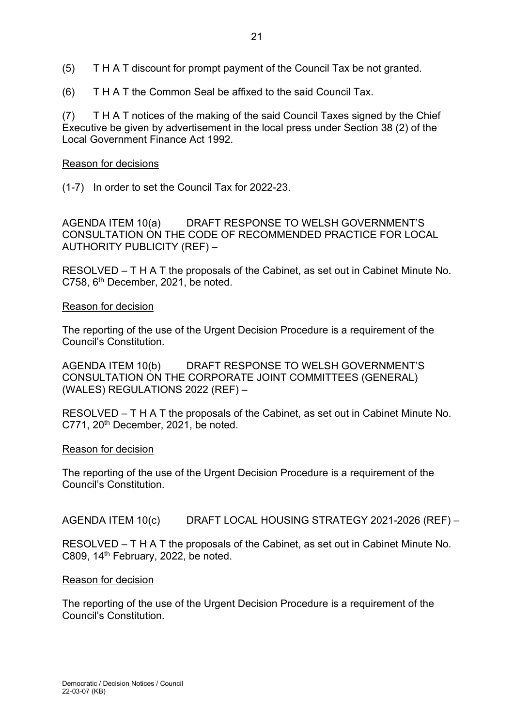- (5) T H A T discount for prompt payment of the Council Tax be not granted.
- (6) T H A T the Common Seal be affixed to the said Council Tax.

(7) T H A T notices of the making of the said Council Taxes signed by the Chief Executive be given by advertisement in the local press under Section 38 (2) of the Local Government Finance Act 1992.

## Reason for decisions

(1-7) In order to set the Council Tax for 2022-23.

AGENDA ITEM 10(a) DRAFT RESPONSE TO WELSH GOVERNMENT'S CONSULTATION ON THE CODE OF RECOMMENDED PRACTICE FOR LOCAL AUTHORITY PUBLICITY (REF) –

RESOLVED – T H A T the proposals of the Cabinet, as set out in Cabinet Minute No. C758, 6th December, 2021, be noted.

## Reason for decision

The reporting of the use of the Urgent Decision Procedure is a requirement of the Council's Constitution.

AGENDA ITEM 10(b) DRAFT RESPONSE TO WELSH GOVERNMENT'S CONSULTATION ON THE CORPORATE JOINT COMMITTEES (GENERAL) (WALES) REGULATIONS 2022 (REF) –

RESOLVED – T H A T the proposals of the Cabinet, as set out in Cabinet Minute No.  $C771$ ,  $20<sup>th</sup>$  December, 2021, be noted.

## Reason for decision

The reporting of the use of the Urgent Decision Procedure is a requirement of the Council's Constitution.

AGENDA ITEM 10(c) DRAFT LOCAL HOUSING STRATEGY 2021-2026 (REF) –

RESOLVED – T H A T the proposals of the Cabinet, as set out in Cabinet Minute No. C809, 14<sup>th</sup> February, 2022, be noted.

#### Reason for decision

The reporting of the use of the Urgent Decision Procedure is a requirement of the Council's Constitution.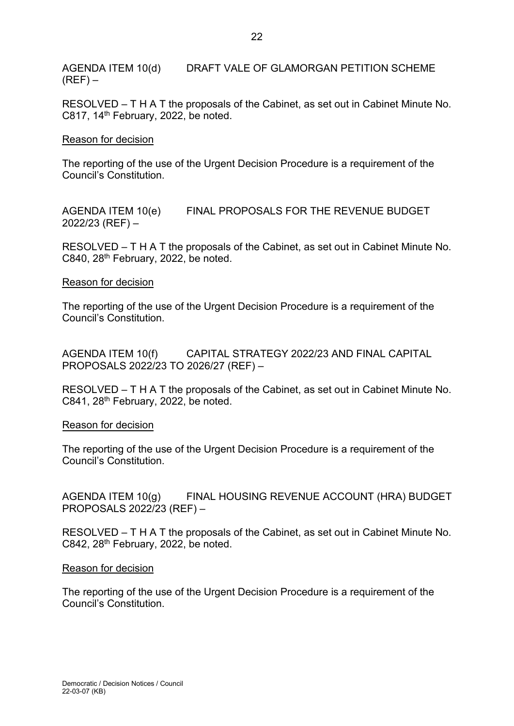AGENDA ITEM 10(d) DRAFT VALE OF GLAMORGAN PETITION SCHEME  $(REF)$  –

RESOLVED – T H A T the proposals of the Cabinet, as set out in Cabinet Minute No. C817,  $14<sup>th</sup>$  February, 2022, be noted.

### Reason for decision

The reporting of the use of the Urgent Decision Procedure is a requirement of the Council's Constitution.

AGENDA ITEM 10(e) FINAL PROPOSALS FOR THE REVENUE BUDGET 2022/23 (REF) –

RESOLVED – T H A T the proposals of the Cabinet, as set out in Cabinet Minute No. C840,  $28<sup>th</sup>$  February, 2022, be noted.

### Reason for decision

The reporting of the use of the Urgent Decision Procedure is a requirement of the Council's Constitution.

AGENDA ITEM 10(f) CAPITAL STRATEGY 2022/23 AND FINAL CAPITAL PROPOSALS 2022/23 TO 2026/27 (REF) –

RESOLVED – T H A T the proposals of the Cabinet, as set out in Cabinet Minute No.  $C841$ ,  $28<sup>th</sup>$  February, 2022, be noted.

#### Reason for decision

The reporting of the use of the Urgent Decision Procedure is a requirement of the Council's Constitution.

AGENDA ITEM 10(g) FINAL HOUSING REVENUE ACCOUNT (HRA) BUDGET PROPOSALS 2022/23 (REF) –

RESOLVED – T H A T the proposals of the Cabinet, as set out in Cabinet Minute No. C842, 28th February, 2022, be noted.

#### Reason for decision

The reporting of the use of the Urgent Decision Procedure is a requirement of the Council's Constitution.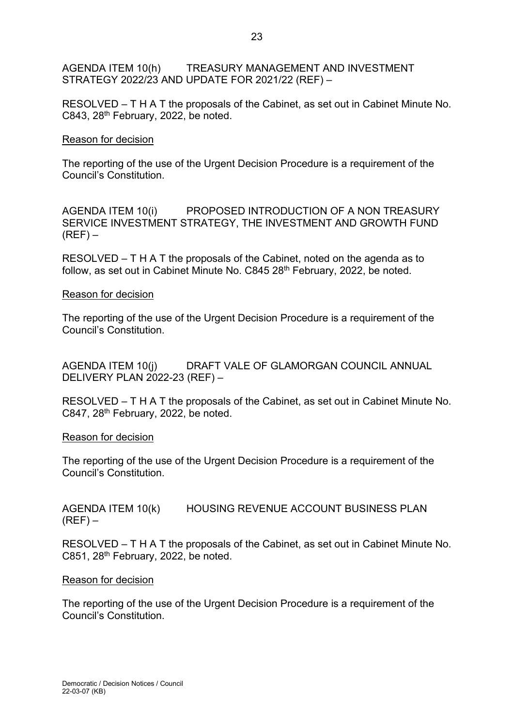AGENDA ITEM 10(h) TREASURY MANAGEMENT AND INVESTMENT STRATEGY 2022/23 AND UPDATE FOR 2021/22 (REF) –

RESOLVED – T H A T the proposals of the Cabinet, as set out in Cabinet Minute No. C843, 28<sup>th</sup> February, 2022, be noted.

### Reason for decision

The reporting of the use of the Urgent Decision Procedure is a requirement of the Council's Constitution.

AGENDA ITEM 10(i) PROPOSED INTRODUCTION OF A NON TREASURY SERVICE INVESTMENT STRATEGY, THE INVESTMENT AND GROWTH FUND  $(REF)$  –

RESOLVED – T H A T the proposals of the Cabinet, noted on the agenda as to follow, as set out in Cabinet Minute No. C845 28<sup>th</sup> February, 2022, be noted.

### Reason for decision

The reporting of the use of the Urgent Decision Procedure is a requirement of the Council's Constitution.

AGENDA ITEM 10(j) DRAFT VALE OF GLAMORGAN COUNCIL ANNUAL DELIVERY PLAN 2022-23 (REF) –

RESOLVED – T H A T the proposals of the Cabinet, as set out in Cabinet Minute No. C847, 28<sup>th</sup> February, 2022, be noted.

#### Reason for decision

The reporting of the use of the Urgent Decision Procedure is a requirement of the Council's Constitution.

AGENDA ITEM 10(k) HOUSING REVENUE ACCOUNT BUSINESS PLAN  $(REF)$  –

RESOLVED – T H A T the proposals of the Cabinet, as set out in Cabinet Minute No. C851, 28<sup>th</sup> February, 2022, be noted.

#### Reason for decision

The reporting of the use of the Urgent Decision Procedure is a requirement of the Council's Constitution.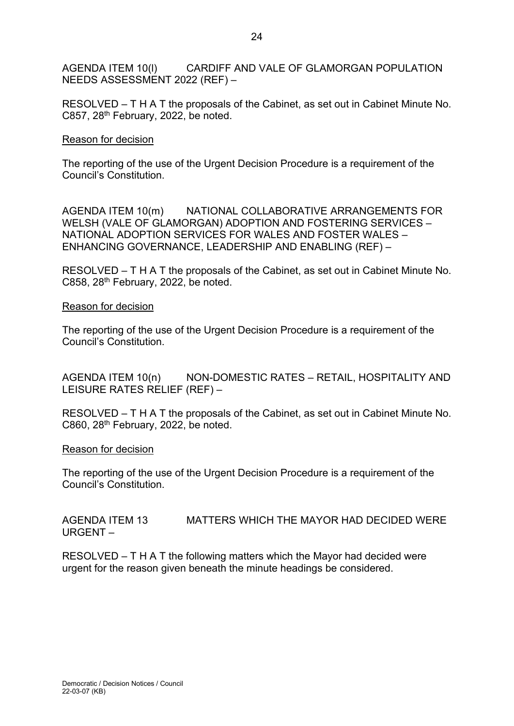AGENDA ITEM 10(l) CARDIFF AND VALE OF GLAMORGAN POPULATION NEEDS ASSESSMENT 2022 (REF) –

RESOLVED – T H A T the proposals of the Cabinet, as set out in Cabinet Minute No. C857, 28th February, 2022, be noted.

### Reason for decision

The reporting of the use of the Urgent Decision Procedure is a requirement of the Council's Constitution.

AGENDA ITEM 10(m) NATIONAL COLLABORATIVE ARRANGEMENTS FOR WELSH (VALE OF GLAMORGAN) ADOPTION AND FOSTERING SERVICES – NATIONAL ADOPTION SERVICES FOR WALES AND FOSTER WALES – ENHANCING GOVERNANCE, LEADERSHIP AND ENABLING (REF) –

RESOLVED – T H A T the proposals of the Cabinet, as set out in Cabinet Minute No. C858, 28<sup>th</sup> February, 2022, be noted.

#### Reason for decision

The reporting of the use of the Urgent Decision Procedure is a requirement of the Council's Constitution.

AGENDA ITEM 10(n) NON-DOMESTIC RATES – RETAIL, HOSPITALITY AND LEISURE RATES RELIEF (REF) –

RESOLVED – T H A T the proposals of the Cabinet, as set out in Cabinet Minute No. C860, 28<sup>th</sup> February, 2022, be noted.

#### Reason for decision

The reporting of the use of the Urgent Decision Procedure is a requirement of the Council's Constitution.

AGENDA ITEM 13 MATTERS WHICH THE MAYOR HAD DECIDED WERE URGENT –

RESOLVED – T H A T the following matters which the Mayor had decided were urgent for the reason given beneath the minute headings be considered.